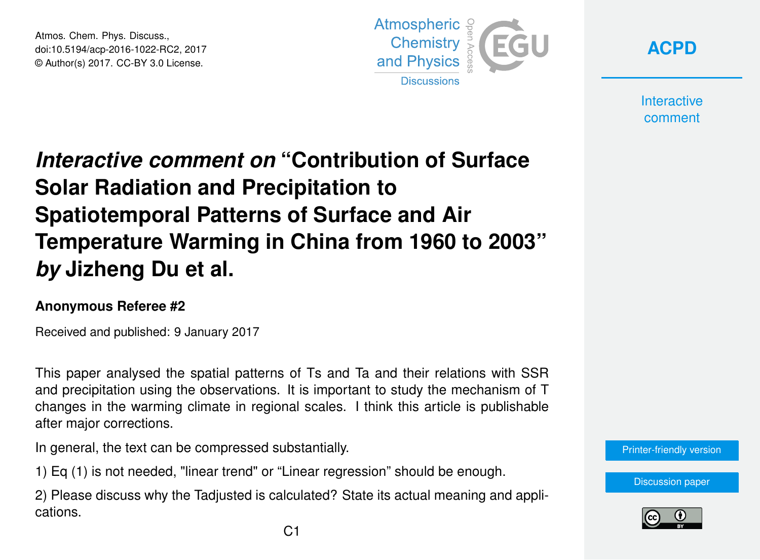Atmos. Chem. Phys. Discuss., doi:10.5194/acp-2016-1022-RC2, 2017 © Author(s) 2017. CC-BY 3.0 License.



**[ACPD](http://www.atmos-chem-phys-discuss.net/)**

**Interactive** comment

## *Interactive comment on* **"Contribution of Surface Solar Radiation and Precipitation to Spatiotemporal Patterns of Surface and Air Temperature Warming in China from 1960 to 2003"** *by* **Jizheng Du et al.**

## **Anonymous Referee #2**

Received and published: 9 January 2017

This paper analysed the spatial patterns of Ts and Ta and their relations with SSR and precipitation using the observations. It is important to study the mechanism of T changes in the warming climate in regional scales. I think this article is publishable after major corrections.

In general, the text can be compressed substantially.

1) Eq (1) is not needed, "linear trend" or "Linear regression" should be enough.

2) Please discuss why the Tadjusted is calculated? State its actual meaning and applications.



[Discussion paper](http://www.atmos-chem-phys-discuss.net/acp-2016-1022)